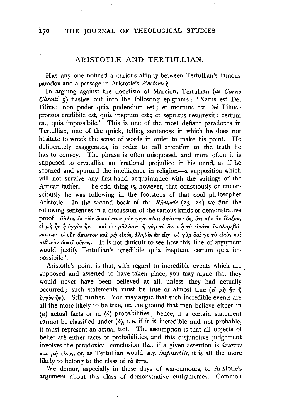# ARISTOTLE AND TERTILLIAN

HAS any one noticed a curious affinity between Tertullian's famous paradox and a passage in Aristotle's Rhetoric?

In arguing against the docetism of Marcion, Tertullian (de Carne *Christi*  $\zeta$ ) flashes out into the following epigrams: 'Natus est Dei Filius: non pudet quia pudendum est; et mortuus est Dei Filius: prorsus credibile est, quia ineptum est; et sepultus resurrexit: certum est, quia impossibile.' This is one of the most defiant paradoxes in Tertullian, one of the quick, telling sentences in which he does not hesitate to wreck the sense of words in order to make his point. He deliberately exaggerates, in order to call attention to the truth he has to convey. The phrase is often misquoted, and more often it is supposed to crystallize an irrational prejudice in his mind, as if he scorned and spurned the intelligence in religion-a supposition which will not survive any first-hand acquaintance with the writings of the African father. The odd thing is, however, that consciously or unconsciously he was following in the footsteps of that cool philosopher Aristotle. In the second book of the *Rhetoric* (23, 22) we find the following sentences in a discussion of the various kinds of demonstrative proof: άλλος έκ των δοκούντων μεν γίγνεσθαι απίστων δέ, ότι ούκ αν έδοξαν, εί μή ήν ή έγγυς ήν. και ότι μάλλον ή γαρ τα όντα ή τα εικότα υπολαμβάνουσιν· εί ούν άπιστον και μη εικός, άληθες αν είη· ού γαρ διά γε το εικός και  $\pi \iota \theta$ avòv δοκεί ούτως. It is not difficult to see how this line of argument would justify Tertullian's 'credibile quia ineptum, certum quia impossibile'.

Aristotle's point is that, with regard to incredible events which are supposed and asserted to have taken place, you may argue that they would never have been believed at all, unless they had actually occurred; such statements must be true or almost true ( $\epsilon \hat{i}$   $\mu \hat{\eta}$   $\hat{\eta}$  $\nu$   $\hat{\eta}$  $\frac{2}{3}$   $\sqrt{v}$   $\sqrt{v}$ . Still further. You may argue that such incredible events are all the more likely to be true, on the ground that men believe either in (a) actual facts or in  $(b)$  probabilities; hence, if a certain statement cannot be classified under  $(b)$ , i.e. if it is incredible and not probable, it must represent an actual fact. The assumption is that all objects of belief are either facts or probabilities, and this disjunctive judgement involves the paradoxical conclusion that if a given assertion is  $\tilde{a} \pi \omega \tau \omega$ και μη είκός, or, as Tertullian would say, *impossibile*, it is all the more likely to belong to the class of  $\tau \dot{a}$  ov $\tau a$ .

We demur, especially in these days of war-rumours, to Aristotle's argument about this class of demonstrative enthymemes. Common

170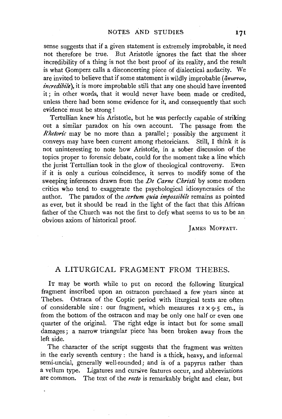sense suggests that if a given statement is extremely improbable, it need not therefore be true. But Aristotle ignores the fact that the sheer incredibility of a thing is not the best proof of its reality, and the result is what Gomperz calls a disconcerting piece of dialectical audacity. We are invited to believe that if some statement is wildly improbable  $(i\pi u \sigma \tau o\nu)$ , *incredibile*), it is more improbable still that any one should have invented it; in other words, that it would never 'have been made or credited, unless there had been some evidence for it, and consequently that such evidence must be strong !

Tertullian knew his Aristotle, but he was perfectly capable of striking out a similar paradox on his own account. The passage from the *Rhetoric* may be no more than a parallel; possibly the argument it conveys may have been current among rhetoricians. Still, I think it is not uninteresting to note how Aristotle, in a sober discussion of the topics proper to forensic debate, could for the moment take a line which the jurist Tertullian took in the glow of theological controversy. Even if it is only a curious coincidence, it serves to modify some of the sweeping inferences drawn from the *De Carne Christi* by some modern critics who tend to exaggerate the psychological idiosyncrasies of the author. The paradox of the *cerium quia impossibile* remains as pointed as ever, but it should be read in the light of the fact that this African father of the Church was not the first to defy what seems to us to be an obvious axiom of historical proof.

JAMES MOFFATT.

## A LITURGICAL FRAGMENT FROM THEBES.

IT may be worth while to put on record the following liturgical fragment inscribed upon an ostracon purchased a few years since at Thebes. Ostraca of the Coptic period with liturgical texts are often of considerable size: our fragment, which measures  $12 \times 9.5$  cm., is from the bottom of the ostracon and may be only one half or even one quarter of the original. The right edge is intact but for some small damages; a narrow triangular piece has been broken away from the left side.

The character of the script suggests that the fragment was written in the early seventh century : the hand is a thick, heavy, and informal semi-uncial, generally well-rounded; and is of a papyrus rather than a vellum type. Ligatures and cursive features occur, and abbreviations are common. The text of the *recto* is remarkably bright and clear, but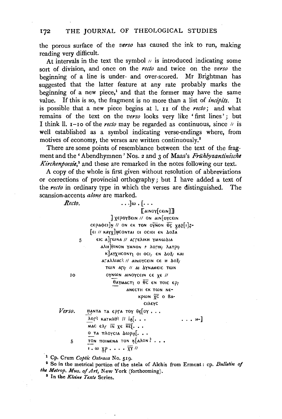### 172 THE JOURNAL OF THEOLOGICAL STUDIES

the porous surface of the *verso* has caused the ink to run, making reading very difficult.

At intervals in the text the symbol  $\mu$  is introduced indicating some sort of division, and once on the *recto* and twice on the *verso* the beginning of a line is under- and over-scored. Mr Brightman has suggested that the latter feature at any rate probably marks the beginning of a new piece,<sup>1</sup> and that the former may have the same value. If this is so, the fragment is no more than a list of *incipits.* It is possible that a new piece begins at 1. 11 of the *recto;* and what remains of the text on the verso looks very like 'first lines'; but I think II.  $i$ -10 of the *recto* may be regarded as continuous, since  $\pi$  is well established as a symbol indicating verse-endings where, from motives of economy, the verses are written continuously.<sup>2</sup>

There are some points of resemblance between the text of the fragment and the 'Abendhymnen' Nos. 2 and 3 of Maas's Frühbyzantinische *Kirchenpoesie*,<sup>3</sup> and these are remarked in the notes following our text.

A copy of the whole is first given without resolution of abbreviations or corrections of provincial orthography; but I have added a text of the *recto* in ordinary type in which the verses are distinguished. The scansion-accents *alone* are marked.

| Recto. | $\ldots$ ] $\omega$ . [ $\ldots$                                         |
|--------|--------------------------------------------------------------------------|
|        | Tainoy[cein]]                                                            |
|        | REPOYBEIN // ON AIN OYCEIN                                               |
|        | cepadei]n // ON EK TON OTNON OC XAP[I]Z-                                 |
|        | FEI // KAYX]HCONTAI OI OCIOI EN 403A                                     |
| 5      | 'eic a]гωna // аггелікн үмнωдіа                                          |
|        | <b>αλ</b> Η θΙΝΟΝ ΥΜΝΟΝ 5 λΟΓΙΚ λατρι                                    |
|        | K AYXHCONTY OF OCI, EN AOZ, KAI                                          |
|        | αΓαλλιας! // αιΝογεειΝ σε Η Δοξ/                                         |
|        | <b>ΤωΝ ΑΓΙ/ // ΑΙ ΔΥΝΑΜΕΙΣ ΤωΝ</b>                                       |
| IO     | OYNON AINOYCEIN CE XE //                                                 |
|        | $\theta$ аүмаст $\eta$ о $\overline{\theta}$ с ен тоіс ер                |
|        | ANECTH EK TWN NE-                                                        |
|        | <b>κρω</b> Ν <u>χ</u> ε ο Βα-                                            |
|        | <b>CIλεγς</b>                                                            |
| Verso. | ΠΑΝΤΑ ΤΑ ΕΡΓΑ ΤΟΥ θείοΥ                                                  |
|        | $\lambda$ Orl KATH $\lambda$ $\theta$ l II $a$ $\lambda$<br>.-1          |
|        | MAC $\epsilon \lambda$ / $\overline{IN}$ $\chi \epsilon$ $\overline{KE}$ |
|        | 0 τα πλογεια Δωρα[.                                                      |

5 TON TIOIMENA TON K[ANON? . . .

 $\cdots$   $\overline{XY}$  //

<sup>1</sup> Cp. Crum *Coptic Ostraca* No. 519.<br><sup>2</sup> So in the metrical portion of the stela of Alchis from Erment : cp. *Bulletin of the Metrop. Mus. of Art,* New York (forthcoming). 8 In the *Kleine Texte* Series.